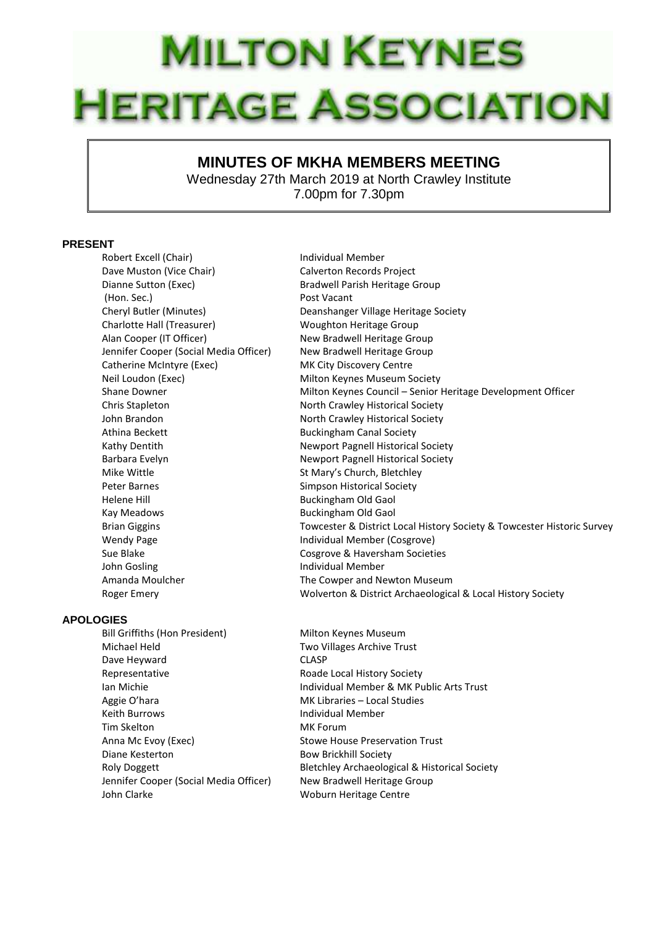## **MILTON KEYNES HERITAGE ASSOCIATION**

## **MINUTES OF MKHA MEMBERS MEETING**

Wednesday 27th March 2019 at North Crawley Institute 7.00pm for 7.30pm

## **PRESENT**

Robert Excell (Chair) **Individual Member** Dave Muston (Vice Chair) Calverton Records Project Dianne Sutton (Exec) The Bradwell Parish Heritage Group (Hon. Sec.) Post Vacant Cheryl Butler (Minutes) Deanshanger Village Heritage Society Charlotte Hall (Treasurer) Woughton Heritage Group Alan Cooper (IT Officer) New Bradwell Heritage Group Jennifer Cooper (Social Media Officer) New Bradwell Heritage Group Catherine McIntyre (Exec) MK City Discovery Centre Neil Loudon (Exec) Milton Keynes Museum Society Chris Stapleton North Crawley Historical Society John Brandon North Crawley Historical Society Athina Beckett **Buckingham Canal Society** Kathy Dentith Newport Pagnell Historical Society Barbara Evelyn **Newport Pagnell Historical Society** Mike Wittle **St Mary's Church, Bletchley** Peter Barnes **Simpson Historical Society** Helene Hill Buckingham Old Gaol Kay Meadows **Buckingham Old Gaol** Wendy Page **Individual Member (Cosgrove)** Sue Blake Cosgrove & Haversham Societies John Gosling **Individual Member** Amanda Moulcher The Cowper and Newton Museum

## **APOLOGIES**

Bill Griffiths (Hon President) Milton Keynes Museum Michael Held Two Villages Archive Trust Dave Heyward CLASP Representative **Roade Local History Society** Aggie O'hara MK Libraries – Local Studies Keith Burrows **Individual Member** Tim Skelton MK Forum Anna Mc Evoy (Exec) Stowe House Preservation Trust Diane Kesterton **Bow Brickhill Society** Jennifer Cooper (Social Media Officer) New Bradwell Heritage Group John Clarke Woburn Heritage Centre

Shane Downer **Milton Keynes Council – Senior Heritage Development Officer** Council – Senior Heritage Development Officer Brian Giggins Towcester & District Local History Society & Towcester Historic Survey Roger Emery Wolverton & District Archaeological & Local History Society

Ian Michie Individual Member & MK Public Arts Trust Roly Doggett Bletchley Archaeological & Historical Society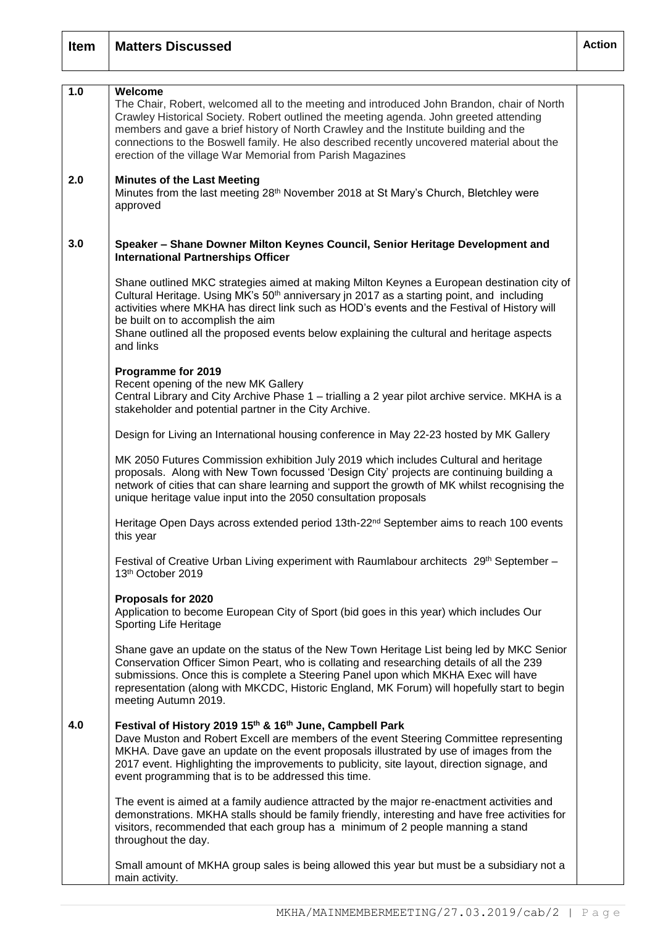| <b>Item</b> | <b>Matters Discussed</b>                                                                                                                                                                                                                                                                                                                                                                                                                            | <b>Action</b> |
|-------------|-----------------------------------------------------------------------------------------------------------------------------------------------------------------------------------------------------------------------------------------------------------------------------------------------------------------------------------------------------------------------------------------------------------------------------------------------------|---------------|
| 1.0         | Welcome<br>The Chair, Robert, welcomed all to the meeting and introduced John Brandon, chair of North<br>Crawley Historical Society. Robert outlined the meeting agenda. John greeted attending<br>members and gave a brief history of North Crawley and the Institute building and the<br>connections to the Boswell family. He also described recently uncovered material about the<br>erection of the village War Memorial from Parish Magazines |               |
| 2.0         | <b>Minutes of the Last Meeting</b><br>Minutes from the last meeting 28 <sup>th</sup> November 2018 at St Mary's Church, Bletchley were<br>approved                                                                                                                                                                                                                                                                                                  |               |
| 3.0         | Speaker - Shane Downer Milton Keynes Council, Senior Heritage Development and<br><b>International Partnerships Officer</b>                                                                                                                                                                                                                                                                                                                          |               |
|             | Shane outlined MKC strategies aimed at making Milton Keynes a European destination city of<br>Cultural Heritage. Using MK's 50 <sup>th</sup> anniversary in 2017 as a starting point, and including<br>activities where MKHA has direct link such as HOD's events and the Festival of History will<br>be built on to accomplish the aim<br>Shane outlined all the proposed events below explaining the cultural and heritage aspects<br>and links   |               |
|             | Programme for 2019<br>Recent opening of the new MK Gallery<br>Central Library and City Archive Phase 1 - trialling a 2 year pilot archive service. MKHA is a<br>stakeholder and potential partner in the City Archive.                                                                                                                                                                                                                              |               |
|             | Design for Living an International housing conference in May 22-23 hosted by MK Gallery                                                                                                                                                                                                                                                                                                                                                             |               |
|             | MK 2050 Futures Commission exhibition July 2019 which includes Cultural and heritage<br>proposals. Along with New Town focussed 'Design City' projects are continuing building a<br>network of cities that can share learning and support the growth of MK whilst recognising the<br>unique heritage value input into the 2050 consultation proposals                                                                                               |               |
|             | Heritage Open Days across extended period 13th-22 <sup>nd</sup> September aims to reach 100 events<br>this year                                                                                                                                                                                                                                                                                                                                     |               |
|             | Festival of Creative Urban Living experiment with Raumlabour architects 29th September -<br>13th October 2019                                                                                                                                                                                                                                                                                                                                       |               |
|             | Proposals for 2020<br>Application to become European City of Sport (bid goes in this year) which includes Our<br>Sporting Life Heritage                                                                                                                                                                                                                                                                                                             |               |
|             | Shane gave an update on the status of the New Town Heritage List being led by MKC Senior<br>Conservation Officer Simon Peart, who is collating and researching details of all the 239<br>submissions. Once this is complete a Steering Panel upon which MKHA Exec will have<br>representation (along with MKCDC, Historic England, MK Forum) will hopefully start to begin<br>meeting Autumn 2019.                                                  |               |
| 4.0         | Festival of History 2019 15th & 16th June, Campbell Park<br>Dave Muston and Robert Excell are members of the event Steering Committee representing<br>MKHA. Dave gave an update on the event proposals illustrated by use of images from the<br>2017 event. Highlighting the improvements to publicity, site layout, direction signage, and<br>event programming that is to be addressed this time.                                                 |               |
|             | The event is aimed at a family audience attracted by the major re-enactment activities and<br>demonstrations. MKHA stalls should be family friendly, interesting and have free activities for<br>visitors, recommended that each group has a minimum of 2 people manning a stand<br>throughout the day.                                                                                                                                             |               |
|             | Small amount of MKHA group sales is being allowed this year but must be a subsidiary not a<br>main activity.                                                                                                                                                                                                                                                                                                                                        |               |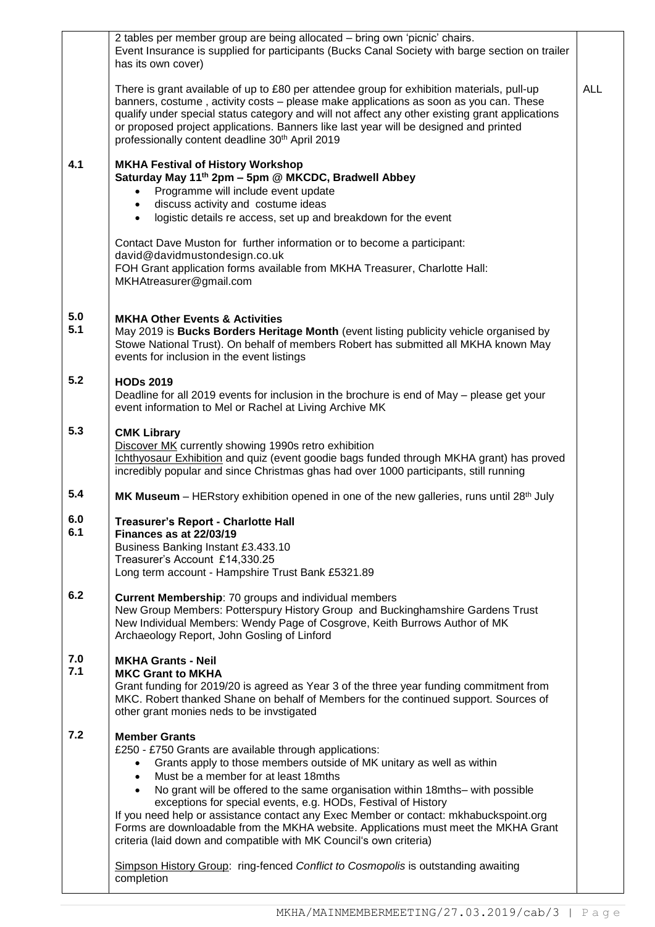|            | Event Insurance is supplied for participants (Bucks Canal Society with barge section on trailer<br>has its own cover)                                                                                                                                                                                                                                                                                                                                                                                                                                                                                                                                                                                                                              |            |
|------------|----------------------------------------------------------------------------------------------------------------------------------------------------------------------------------------------------------------------------------------------------------------------------------------------------------------------------------------------------------------------------------------------------------------------------------------------------------------------------------------------------------------------------------------------------------------------------------------------------------------------------------------------------------------------------------------------------------------------------------------------------|------------|
|            | There is grant available of up to £80 per attendee group for exhibition materials, pull-up<br>banners, costume, activity costs - please make applications as soon as you can. These<br>qualify under special status category and will not affect any other existing grant applications<br>or proposed project applications. Banners like last year will be designed and printed<br>professionally content deadline 30 <sup>th</sup> April 2019                                                                                                                                                                                                                                                                                                     | <b>ALL</b> |
| 4.1        | <b>MKHA Festival of History Workshop</b><br>Saturday May 11 <sup>th</sup> 2pm - 5pm @ MKCDC, Bradwell Abbey<br>Programme will include event update<br>$\bullet$<br>discuss activity and costume ideas<br>$\bullet$<br>logistic details re access, set up and breakdown for the event<br>$\bullet$                                                                                                                                                                                                                                                                                                                                                                                                                                                  |            |
|            | Contact Dave Muston for further information or to become a participant:<br>david@davidmustondesign.co.uk<br>FOH Grant application forms available from MKHA Treasurer, Charlotte Hall:<br>MKHAtreasurer@gmail.com                                                                                                                                                                                                                                                                                                                                                                                                                                                                                                                                  |            |
| 5.0<br>5.1 | <b>MKHA Other Events &amp; Activities</b><br>May 2019 is Bucks Borders Heritage Month (event listing publicity vehicle organised by<br>Stowe National Trust). On behalf of members Robert has submitted all MKHA known May<br>events for inclusion in the event listings                                                                                                                                                                                                                                                                                                                                                                                                                                                                           |            |
| 5.2        | <b>HODs 2019</b><br>Deadline for all 2019 events for inclusion in the brochure is end of May – please get your<br>event information to Mel or Rachel at Living Archive MK                                                                                                                                                                                                                                                                                                                                                                                                                                                                                                                                                                          |            |
| 5.3        | <b>CMK Library</b><br>Discover MK currently showing 1990s retro exhibition<br>Ichthyosaur Exhibition and quiz (event goodie bags funded through MKHA grant) has proved<br>incredibly popular and since Christmas ghas had over 1000 participants, still running                                                                                                                                                                                                                                                                                                                                                                                                                                                                                    |            |
| 5.4        | MK Museum – HERstory exhibition opened in one of the new galleries, runs until 28 <sup>th</sup> July                                                                                                                                                                                                                                                                                                                                                                                                                                                                                                                                                                                                                                               |            |
| 6.0<br>6.1 | <b>Treasurer's Report - Charlotte Hall</b><br>Finances as at 22/03/19<br>Business Banking Instant £3.433.10<br>Treasurer's Account £14,330.25<br>Long term account - Hampshire Trust Bank £5321.89                                                                                                                                                                                                                                                                                                                                                                                                                                                                                                                                                 |            |
| 6.2        | <b>Current Membership: 70 groups and individual members</b><br>New Group Members: Potterspury History Group and Buckinghamshire Gardens Trust<br>New Individual Members: Wendy Page of Cosgrove, Keith Burrows Author of MK<br>Archaeology Report, John Gosling of Linford                                                                                                                                                                                                                                                                                                                                                                                                                                                                         |            |
| 7.0<br>7.1 | <b>MKHA Grants - Neil</b><br><b>MKC Grant to MKHA</b><br>Grant funding for 2019/20 is agreed as Year 3 of the three year funding commitment from<br>MKC. Robert thanked Shane on behalf of Members for the continued support. Sources of<br>other grant monies neds to be invstigated                                                                                                                                                                                                                                                                                                                                                                                                                                                              |            |
| 7.2        | <b>Member Grants</b><br>£250 - £750 Grants are available through applications:<br>Grants apply to those members outside of MK unitary as well as within<br>$\bullet$<br>Must be a member for at least 18mths<br>$\bullet$<br>No grant will be offered to the same organisation within 18mths- with possible<br>$\bullet$<br>exceptions for special events, e.g. HODs, Festival of History<br>If you need help or assistance contact any Exec Member or contact: mkhabuckspoint.org<br>Forms are downloadable from the MKHA website. Applications must meet the MKHA Grant<br>criteria (laid down and compatible with MK Council's own criteria)<br>Simpson History Group: ring-fenced Conflict to Cosmopolis is outstanding awaiting<br>completion |            |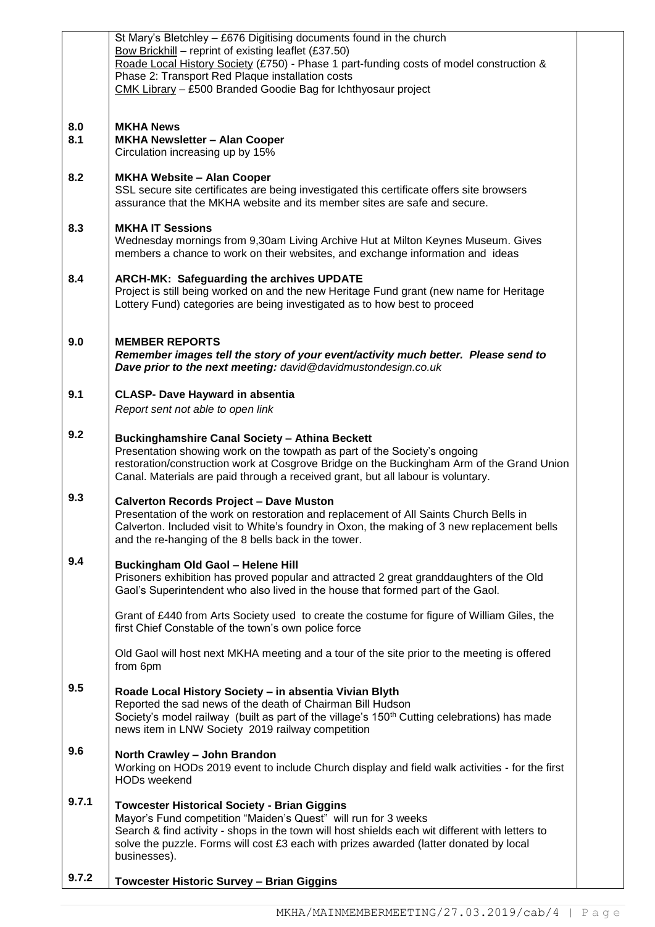|       | St Mary's Bletchley - £676 Digitising documents found in the church<br>Bow Brickhill - reprint of existing leaflet (£37.50)                                                |  |
|-------|----------------------------------------------------------------------------------------------------------------------------------------------------------------------------|--|
|       | Roade Local History Society (£750) - Phase 1 part-funding costs of model construction &                                                                                    |  |
|       | Phase 2: Transport Red Plaque installation costs<br>CMK Library - £500 Branded Goodie Bag for Ichthyosaur project                                                          |  |
|       |                                                                                                                                                                            |  |
| 8.0   | <b>MKHA News</b>                                                                                                                                                           |  |
| 8.1   | <b>MKHA Newsletter - Alan Cooper</b><br>Circulation increasing up by 15%                                                                                                   |  |
| 8.2   | <b>MKHA Website - Alan Cooper</b>                                                                                                                                          |  |
|       | SSL secure site certificates are being investigated this certificate offers site browsers<br>assurance that the MKHA website and its member sites are safe and secure.     |  |
| 8.3   | <b>MKHA IT Sessions</b>                                                                                                                                                    |  |
|       | Wednesday mornings from 9,30am Living Archive Hut at Milton Keynes Museum. Gives<br>members a chance to work on their websites, and exchange information and ideas         |  |
| 8.4   | ARCH-MK: Safeguarding the archives UPDATE                                                                                                                                  |  |
|       | Project is still being worked on and the new Heritage Fund grant (new name for Heritage<br>Lottery Fund) categories are being investigated as to how best to proceed       |  |
|       |                                                                                                                                                                            |  |
| 9.0   | <b>MEMBER REPORTS</b>                                                                                                                                                      |  |
|       | Remember images tell the story of your event/activity much better. Please send to<br>Dave prior to the next meeting: david@davidmustondesign.co.uk                         |  |
|       |                                                                                                                                                                            |  |
| 9.1   | <b>CLASP- Dave Hayward in absentia</b><br>Report sent not able to open link                                                                                                |  |
|       |                                                                                                                                                                            |  |
| 9.2   | <b>Buckinghamshire Canal Society - Athina Beckett</b><br>Presentation showing work on the towpath as part of the Society's ongoing                                         |  |
|       | restoration/construction work at Cosgrove Bridge on the Buckingham Arm of the Grand Union                                                                                  |  |
|       | Canal. Materials are paid through a received grant, but all labour is voluntary.                                                                                           |  |
| 9.3   | <b>Calverton Records Project - Dave Muston</b><br>Presentation of the work on restoration and replacement of All Saints Church Bells in                                    |  |
|       | Calverton. Included visit to White's foundry in Oxon, the making of 3 new replacement bells                                                                                |  |
|       | and the re-hanging of the 8 bells back in the tower.                                                                                                                       |  |
| 9.4   | <b>Buckingham Old Gaol - Helene Hill</b>                                                                                                                                   |  |
|       | Prisoners exhibition has proved popular and attracted 2 great granddaughters of the Old<br>Gaol's Superintendent who also lived in the house that formed part of the Gaol. |  |
|       | Grant of £440 from Arts Society used to create the costume for figure of William Giles, the                                                                                |  |
|       | first Chief Constable of the town's own police force                                                                                                                       |  |
|       | Old Gaol will host next MKHA meeting and a tour of the site prior to the meeting is offered<br>from 6pm                                                                    |  |
| 9.5   |                                                                                                                                                                            |  |
|       | Roade Local History Society - in absentia Vivian Blyth<br>Reported the sad news of the death of Chairman Bill Hudson                                                       |  |
|       | Society's model railway (built as part of the village's 150 <sup>th</sup> Cutting celebrations) has made<br>news item in LNW Society 2019 railway competition              |  |
| 9.6   |                                                                                                                                                                            |  |
|       | North Crawley - John Brandon<br>Working on HODs 2019 event to include Church display and field walk activities - for the first                                             |  |
|       | <b>HODs weekend</b>                                                                                                                                                        |  |
| 9.7.1 | <b>Towcester Historical Society - Brian Giggins</b><br>Mayor's Fund competition "Maiden's Quest" will run for 3 weeks                                                      |  |
|       | Search & find activity - shops in the town will host shields each wit different with letters to                                                                            |  |
|       | solve the puzzle. Forms will cost £3 each with prizes awarded (latter donated by local<br>businesses).                                                                     |  |
| 9.7.2 |                                                                                                                                                                            |  |
|       | <b>Towcester Historic Survey - Brian Giggins</b>                                                                                                                           |  |